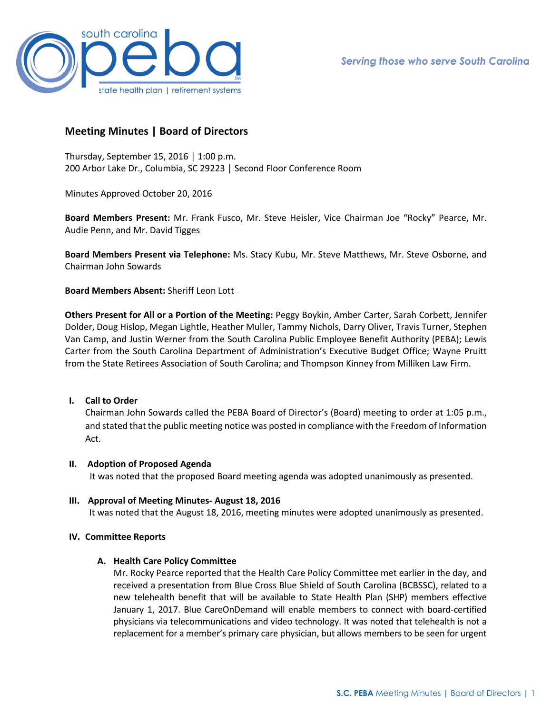

# **Meeting Minutes | Board of Directors**

Thursday, September 15, 2016 │ 1:00 p.m. 200 Arbor Lake Dr., Columbia, SC 29223 │ Second Floor Conference Room

Minutes Approved October 20, 2016

**Board Members Present:** Mr. Frank Fusco, Mr. Steve Heisler, Vice Chairman Joe "Rocky" Pearce, Mr. Audie Penn, and Mr. David Tigges

**Board Members Present via Telephone:** Ms. Stacy Kubu, Mr. Steve Matthews, Mr. Steve Osborne, and Chairman John Sowards

**Board Members Absent:** Sheriff Leon Lott

**Others Present for All or a Portion of the Meeting:** Peggy Boykin, Amber Carter, Sarah Corbett, Jennifer Dolder, Doug Hislop, Megan Lightle, Heather Muller, Tammy Nichols, Darry Oliver, Travis Turner, Stephen Van Camp, and Justin Werner from the South Carolina Public Employee Benefit Authority (PEBA); Lewis Carter from the South Carolina Department of Administration's Executive Budget Office; Wayne Pruitt from the State Retirees Association of South Carolina; and Thompson Kinney from Milliken Law Firm.

# **I. Call to Order**

Chairman John Sowards called the PEBA Board of Director's (Board) meeting to order at 1:05 p.m., and stated that the public meeting notice was posted in compliance with the Freedom of Information Act.

# **II. Adoption of Proposed Agenda**

It was noted that the proposed Board meeting agenda was adopted unanimously as presented.

# **III. Approval of Meeting Minutes- August 18, 2016**

It was noted that the August 18, 2016, meeting minutes were adopted unanimously as presented.

# **IV. Committee Reports**

# **A. Health Care Policy Committee**

Mr. Rocky Pearce reported that the Health Care Policy Committee met earlier in the day, and received a presentation from Blue Cross Blue Shield of South Carolina (BCBSSC), related to a new telehealth benefit that will be available to State Health Plan (SHP) members effective January 1, 2017. Blue CareOnDemand will enable members to connect with board-certified physicians via telecommunications and video technology. It was noted that telehealth is not a replacement for a member's primary care physician, but allows members to be seen for urgent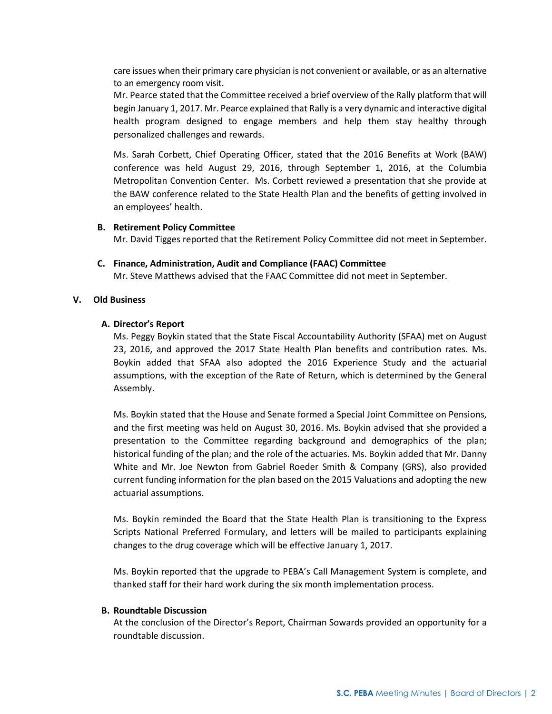care issues when their primary care physician is not convenient or available, or as an alternative to an emergency room visit.

Mr. Pearce stated that the Committee received a brief overview of the Rally platform that will begin January 1, 2017. Mr. Pearce explained that Rally is a very dynamic and interactive digital health program designed to engage members and help them stay healthy through personalized challenges and rewards.

Ms. Sarah Corbett, Chief Operating Officer, stated that the 2016 Benefits at Work (BAW) conference was held August 29, 2016, through September 1, 2016, at the Columbia Metropolitan Convention Center. Ms. Corbett reviewed a presentation that she provide at the BAW conference related to the State Health Plan and the benefits of getting involved in an employees' health.

#### **B. Retirement Policy Committee**

Mr. David Tigges reported that the Retirement Policy Committee did not meet in September.

#### **C. Finance, Administration, Audit and Compliance (FAAC) Committee**

Mr. Steve Matthews advised that the FAAC Committee did not meet in September.

#### **V. Old Business**

### **A. Director's Report**

Ms. Peggy Boykin stated that the State Fiscal Accountability Authority (SFAA) met on August 23, 2016, and approved the 2017 State Health Plan benefits and contribution rates. Ms. Boykin added that SFAA also adopted the 2016 Experience Study and the actuarial assumptions, with the exception of the Rate of Return, which is determined by the General Assembly.

Ms. Boykin stated that the House and Senate formed a Special Joint Committee on Pensions, and the first meeting was held on August 30, 2016. Ms. Boykin advised that she provided a presentation to the Committee regarding background and demographics of the plan; historical funding of the plan; and the role of the actuaries. Ms. Boykin added that Mr. Danny White and Mr. Joe Newton from Gabriel Roeder Smith & Company (GRS), also provided current funding information for the plan based on the 2015 Valuations and adopting the new actuarial assumptions.

Ms. Boykin reminded the Board that the State Health Plan is transitioning to the Express Scripts National Preferred Formulary, and letters will be mailed to participants explaining changes to the drug coverage which will be effective January 1, 2017.

Ms. Boykin reported that the upgrade to PEBA's Call Management System is complete, and thanked staff for their hard work during the six month implementation process.

#### **B. Roundtable Discussion**

At the conclusion of the Director's Report, Chairman Sowards provided an opportunity for a roundtable discussion.